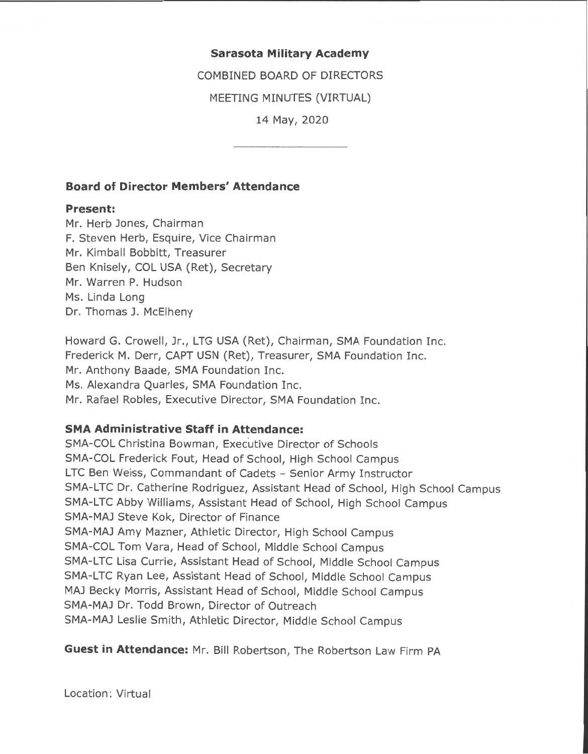## **Sarasota Military Academy**

COMBINED BOARD OF DIRECTORS

MEETING MINUTES (VIRTUAL)

14 May, 2020

## **Board of Director Members' Attendance**

#### **Present:**

Mr. Herb Jones, Chairman F. Steven Herb, Esquire, Vice Chairman Mr. Kimball Bobbitt, Treasurer Ben Knisely, COL USA (Ret), Secretary Mr. Warren P. Hudson Ms. Linda Long Dr. Thomas J. McElheny

Howard G. Crowell, Jr., LTG USA (Ret), Chairman, SMA Foundation Inc. Frederick M. Derr, CAPT USN (Ret), Treasurer, SMA Foundation Inc. Mr. Anthony Baade, SMA Foundation Inc. Ms. Alexandra Quarles, SMA Foundation Inc. Mr. Rafael Robles, Executive Director, SMA Foundation Inc.

#### **SMA Administrative Staff in Attendance:**

SMA-COL Christina Bowman, Executive Director of Schools SMA-COL Frederick Fout, Head of School, High School Campus LTC Ben Weiss, Commandant of Cadets - Senior Army Instructor SMA-LTC Dr. Catherine Rodriguez, Assistant Head of School, High School Campus SMA-LTC Abby Williams, Assistant Head of School, High School Campus SMA-MAJ Steve Kok, Director of Finance SMA-MAJ Amy Mazner, Athletic Director, High School Campus SMA-COL Tom Vara, Head of School, Middle School Campus SMA-LTC Lisa Currie, Assistant Head of School, Middle School Campus SMA-LTC Ryan Lee, Assistant Head of School, Middle School Campus MAJ Becky Morris, Assistant Head of School, Middle School Campus SMA-MAJ Dr. Todd Brown, Director of Outreach SMA-MAJ Leslie Smith, Athletic Director, Middle School Campus

**Guest in Attendance:** Mr. Bill Robertson, The Robertson Law Firm PA

Location: Virtual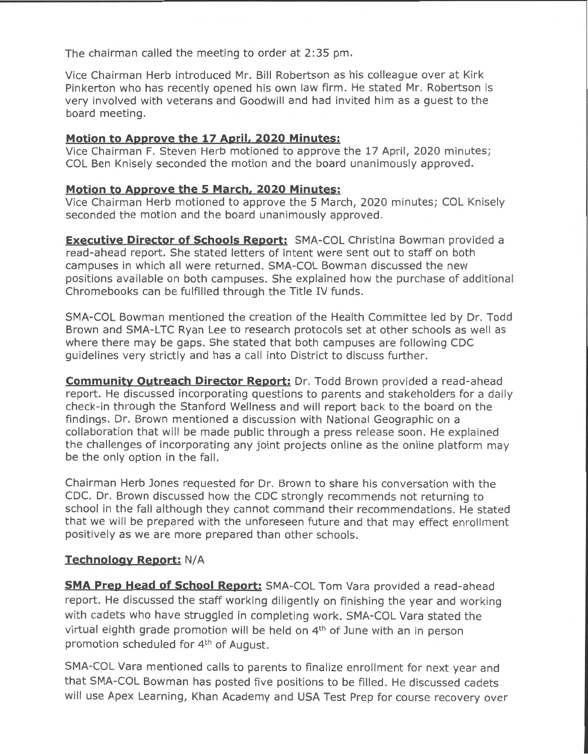The chairman called the meeting to order at 2:35 pm.

Vice Chairman Herb introduced Mr. Bill Robertson as his colleague over at Kirk Pinkerton who has recently opened his own law firm. He stated Mr. Robertson is very involved with veterans and Goodwill and had invited him as a guest to the board meeting.

## **Motion to Approve the 17 April, 2020 Minutes:**

Vice Chairman F. Steven Herb motioned to approve the 17 April, 2020 minutes; COL Ben Knisely seconded the motion and the board unanimously approved.

## **Motion to Approve the s March, 2020 Minutes:**

Vice Chairman Herb motioned to approve the 5 March, 2020 minutes; COL Knisely seconded the motion and the board unanimously approved.

**Executive Director of Schools Report:** SMA-COL Christina Bowman provided a read-ahead report. She stated letters of intent were sent out to staff on both campuses in which all were returned. SMA-COL Bowman discussed the new positions available on both campuses. She explained how the purchase of additional Chromebooks can be fulfilled through the Title IV funds.

SMA-COL Bowman mentioned the creation of the Health Committee led by Dr. Todd Brown and SMA-LTC Ryan Lee to research protocols set at other schools as well as where there may be gaps. She stated that both campuses are following CDC guidelines very strictly and has a call into District to discuss further.

**Community Outreach Director Report:** Dr. Todd Brown provided a read-ahead report. He discussed incorporating questions to parents and stakeholders for a daily check-in through the Stanford Wellness and will report back to the board on the findings. Dr. Brown mentioned a discussion with National Geographic on a collaboration that will be made public through a press release soon. He explained the challenges of incorporating any joint projects online as the online platform may be the only option in the fall.

Chairman Herb Jones requested for Dr. Brown to share his conversation with the CDC. Dr. Brown discussed how the CDC strongly recommends not returning to school in the fall although they cannot command their recommendations. He stated that we will be prepared with the unforeseen future and that may effect enrollment positively as we are more prepared than other schools.

# **Technology Report: N/A**

**SMA Prep Head of School Report:** SMA-COL Tom Vara provided a read-ahead report. He discussed the staff working diligently on finishing the year and working with cadets who have struggled in completing work. SMA-COL Vara stated the virtual eighth grade promotion will be held on 4th of June with an in person promotion scheduled for 4<sup>th</sup> of August.

SMA-COL Vara mentioned calls to parents to finalize enrollment for next year and that SMA-COL Bowman has posted five positions to be filled. He discussed cadets will use Apex Learning, Khan Academy and USA Test Prep for course recovery over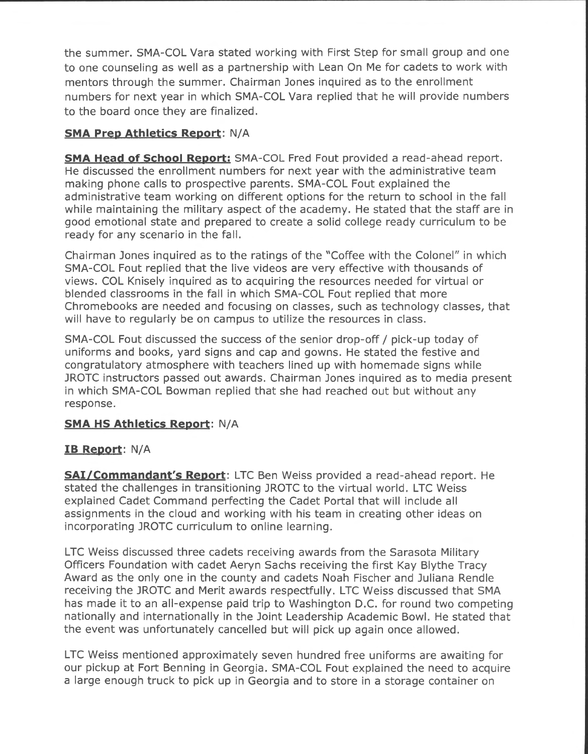the summer. SMA-COL Vara stated working with First Step for small group and one to one counseling as well as a partnership with Lean On Me for cadets to work with mentors through the summer. Chairman Jones inquired as to the enrollment numbers for next year in which SMA-COL Vara replied that he will provide numbers to the board once they are finalized.

## **SMA Prep Athletics Report:** N/A

**SMA Head of School Report:** SMA-COL Fred Fout provided a read-ahead report. He discussed the enrollment numbers for next year with the administrative team making phone calls to prospective parents. SMA-COL Fout explained the administrative team working on different options for the return to school in the fall while maintaining the military aspect of the academy. He stated that the staff are in good emotional state and prepared to create a solid college ready curriculum to be ready for any scenario in the fall.

Chairman Jones inquired as to the ratings of the "Coffee with the Colonel" in which SMA-COL Fout replied that the live videos are very effective with thousands of views. COL Knisely inquired as to acquiring the resources needed for virtual or blended classrooms in the fall in which SMA-COL Fout replied that more Chromebooks are needed and focusing on classes, such as technology classes, that will have to regularly be on campus to utilize the resources in class.

SMA-COL Fout discussed the success of the senior drop-off/ pick-up today of uniforms and books, yard signs and cap and gowns. He stated the festive and congratulatory atmosphere with teachers lined up with homemade signs while JROTC instructors passed out awards. Chairman Jones inquired as to media present in which SMA-COL Bowman replied that she had reached out but without any response.

## **SMA HS Athletics Report:** N/A

## **IB Report:** N/A

**SAi/Commandant's Report:** LTC Ben Weiss provided a read-ahead report. He stated the challenges in transitioning JROTC to the virtual world. LTC Weiss explained Cadet Command perfecting the Cadet Portal that will include all assignments in the cloud and working with his team in creating other ideas on incorporating JROTC curriculum to online learning.

LTC Weiss discussed three cadets receiving awards from the Sarasota Military Officers Foundation with cadet Aeryn Sachs receiving the first Kay Blythe Tracy Award as the only one in the county and cadets Noah Fischer and Juliana Rendle receiving the JROTC and Merit awards respectfully. LTC Weiss discussed that SMA has made it to an all-expense paid trip to Washington D.C. for round two competing nationally and internationally in the Joint Leadership Academic Bowl. He stated that the event was unfortunately cancelled but will pick up again once allowed.

LTC Weiss mentioned approximately seven hundred free uniforms are awaiting for our pickup at Fort Benning in Georgia. SMA-COL Fout explained the need to acquire a large enough truck to pick up in Georgia and to store in a storage container on